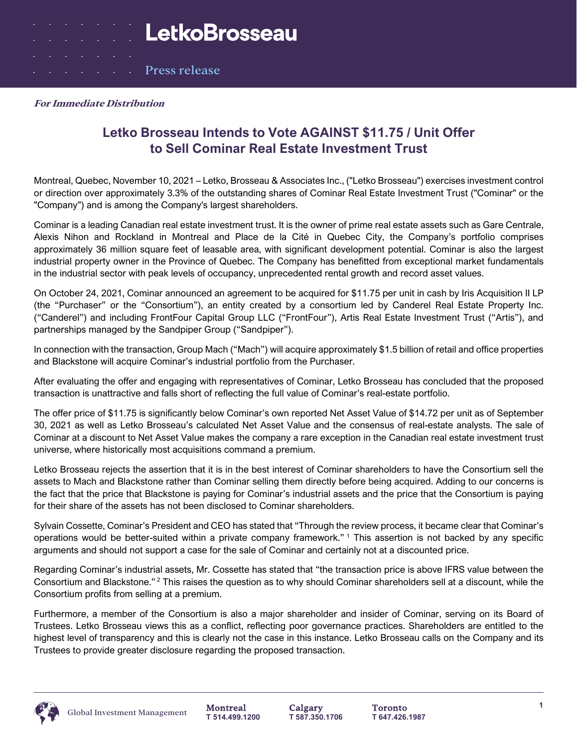Press release

## **Letko Brosseau Intends to Vote AGAINST \$11.75 / Unit Offer to Sell Cominar Real Estate Investment Trust**

Montreal, Quebec, November 10, 2021 – Letko, Brosseau & Associates Inc., ("Letko Brosseau") exercises investment control or direction over approximately 3.3% of the outstanding shares of Cominar Real Estate Investment Trust ("Cominar" or the "Company") and is among the Company's largest shareholders.

Cominar is a leading Canadian real estate investment trust. It is the owner of prime real estate assets such as Gare Centrale, Alexis Nihon and Rockland in Montreal and Place de la Cité in Quebec City, the Company's portfolio comprises approximately 36 million square feet of leasable area, with significant development potential. Cominar is also the largest industrial property owner in the Province of Quebec. The Company has benefitted from exceptional market fundamentals in the industrial sector with peak levels of occupancy, unprecedented rental growth and record asset values.

On October 24, 2021, Cominar announced an agreement to be acquired for \$11.75 per unit in cash by Iris Acquisition II LP (the "Purchaser" or the "Consortium"), an entity created by a consortium led by Canderel Real Estate Property Inc. ("Canderel") and including FrontFour Capital Group LLC ("FrontFour"), Artis Real Estate Investment Trust ("Artis"), and partnerships managed by the Sandpiper Group ("Sandpiper").

In connection with the transaction, Group Mach ("Mach") will acquire approximately \$1.5 billion of retail and office properties and Blackstone will acquire Cominar's industrial portfolio from the Purchaser.

After evaluating the offer and engaging with representatives of Cominar, Letko Brosseau has concluded that the proposed transaction is unattractive and falls short of reflecting the full value of Cominar's real-estate portfolio.

The offer price of \$11.75 is significantly below Cominar's own reported Net Asset Value of \$14.72 per unit as of September 30, 2021 as well as Letko Brosseau's calculated Net Asset Value and the consensus of real-estate analysts. The sale of Cominar at a discount to Net Asset Value makes the company a rare exception in the Canadian real estate investment trust universe, where historically most acquisitions command a premium.

Letko Brosseau rejects the assertion that it is in the best interest of Cominar shareholders to have the Consortium sell the assets to Mach and Blackstone rather than Cominar selling them directly before being acquired. Adding to our concerns is the fact that the price that Blackstone is paying for Cominar's industrial assets and the price that the Consortium is paying for their share of the assets has not been disclosed to Cominar shareholders.

Sylvain Cossette, Cominar's President and CEO has stated that "Through the review process, it became clear that Cominar's operations would be better-suited within a private company framework."<sup>1</sup> This assertion is not backed by any specific arguments and should not support a case for the sale of Cominar and certainly not at a discounted price.

Regarding Cominar's industrial assets, Mr. Cossette has stated that "the transaction price is above IFRS value between the Consortium and Blackstone." <sup>2</sup> This raises the question as to why should Cominar shareholders sell at a discount, while the Consortium profits from selling at a premium.

Furthermore, a member of the Consortium is also a major shareholder and insider of Cominar, serving on its Board of Trustees. Letko Brosseau views this as a conflict, reflecting poor governance practices. Shareholders are entitled to the highest level of transparency and this is clearly not the case in this instance. Letko Brosseau calls on the Company and its Trustees to provide greater disclosure regarding the proposed transaction.